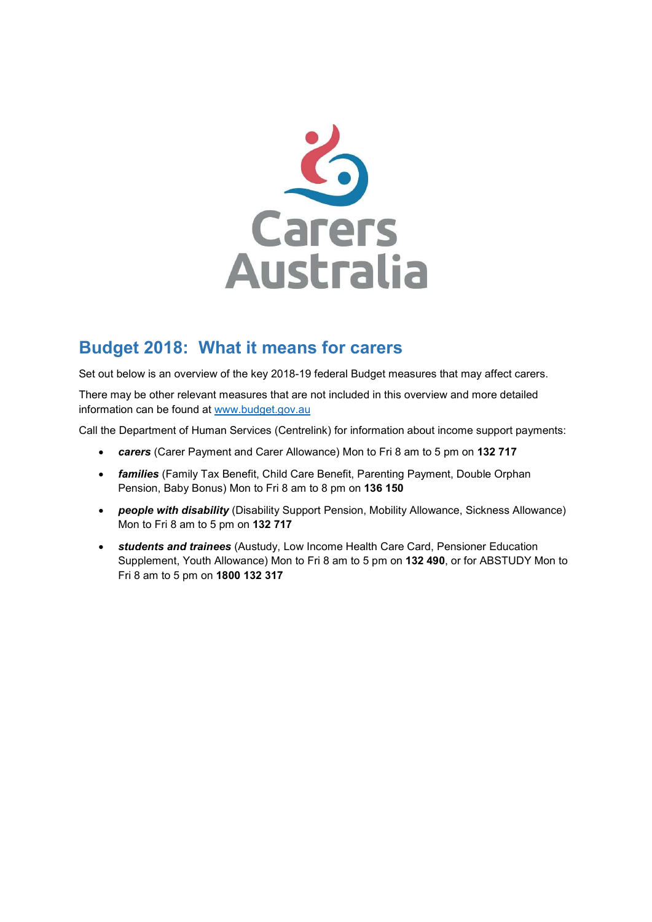

# Budget 2018: What it means for carers

Set out below is an overview of the key 2018-19 federal Budget measures that may affect carers.

There may be other relevant measures that are not included in this overview and more detailed information can be found at www.budget.gov.au

Call the Department of Human Services (Centrelink) for information about income support payments:

- carers (Carer Payment and Carer Allowance) Mon to Fri 8 am to 5 pm on 132 717
- **families** (Family Tax Benefit, Child Care Benefit, Parenting Payment, Double Orphan Pension, Baby Bonus) Mon to Fri 8 am to 8 pm on 136 150
- people with disability (Disability Support Pension, Mobility Allowance, Sickness Allowance) Mon to Fri 8 am to 5 pm on 132 717
- **•** students and trainees (Austudy, Low Income Health Care Card, Pensioner Education Supplement, Youth Allowance) Mon to Fri 8 am to 5 pm on 132 490, or for ABSTUDY Mon to Fri 8 am to 5 pm on 1800 132 317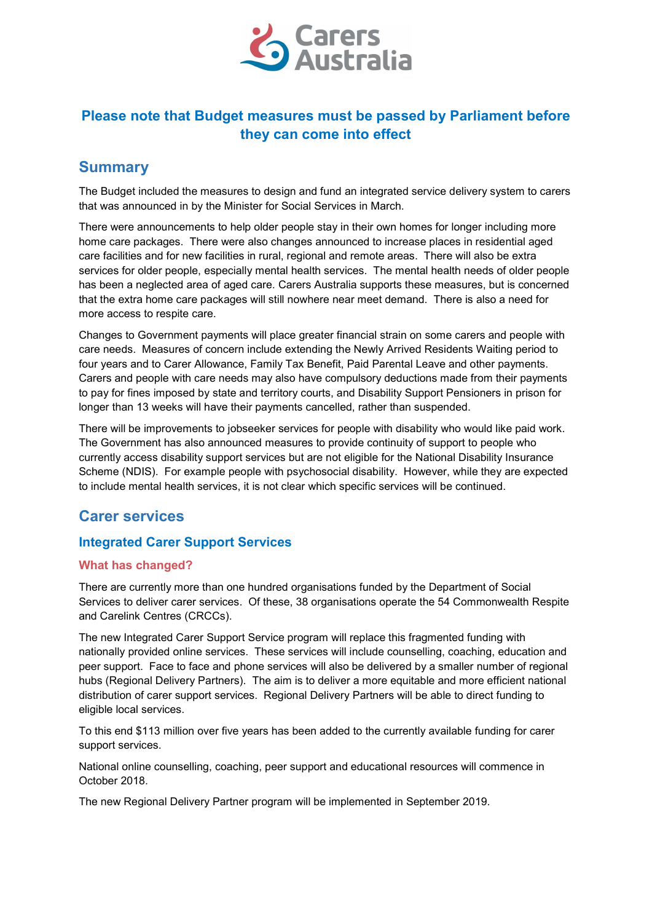

# Please note that Budget measures must be passed by Parliament before they can come into effect

## Summary

The Budget included the measures to design and fund an integrated service delivery system to carers that was announced in by the Minister for Social Services in March.

There were announcements to help older people stay in their own homes for longer including more home care packages. There were also changes announced to increase places in residential aged care facilities and for new facilities in rural, regional and remote areas. There will also be extra services for older people, especially mental health services. The mental health needs of older people has been a neglected area of aged care. Carers Australia supports these measures, but is concerned that the extra home care packages will still nowhere near meet demand. There is also a need for more access to respite care.

Changes to Government payments will place greater financial strain on some carers and people with care needs. Measures of concern include extending the Newly Arrived Residents Waiting period to four years and to Carer Allowance, Family Tax Benefit, Paid Parental Leave and other payments. Carers and people with care needs may also have compulsory deductions made from their payments to pay for fines imposed by state and territory courts, and Disability Support Pensioners in prison for longer than 13 weeks will have their payments cancelled, rather than suspended.

There will be improvements to jobseeker services for people with disability who would like paid work. The Government has also announced measures to provide continuity of support to people who currently access disability support services but are not eligible for the National Disability Insurance Scheme (NDIS). For example people with psychosocial disability. However, while they are expected to include mental health services, it is not clear which specific services will be continued.

## Carer services

## Integrated Carer Support Services

## What has changed?

There are currently more than one hundred organisations funded by the Department of Social Services to deliver carer services. Of these, 38 organisations operate the 54 Commonwealth Respite and Carelink Centres (CRCCs).

The new Integrated Carer Support Service program will replace this fragmented funding with nationally provided online services. These services will include counselling, coaching, education and peer support. Face to face and phone services will also be delivered by a smaller number of regional hubs (Regional Delivery Partners). The aim is to deliver a more equitable and more efficient national distribution of carer support services. Regional Delivery Partners will be able to direct funding to eligible local services.

To this end \$113 million over five years has been added to the currently available funding for carer support services.

National online counselling, coaching, peer support and educational resources will commence in October 2018.

The new Regional Delivery Partner program will be implemented in September 2019.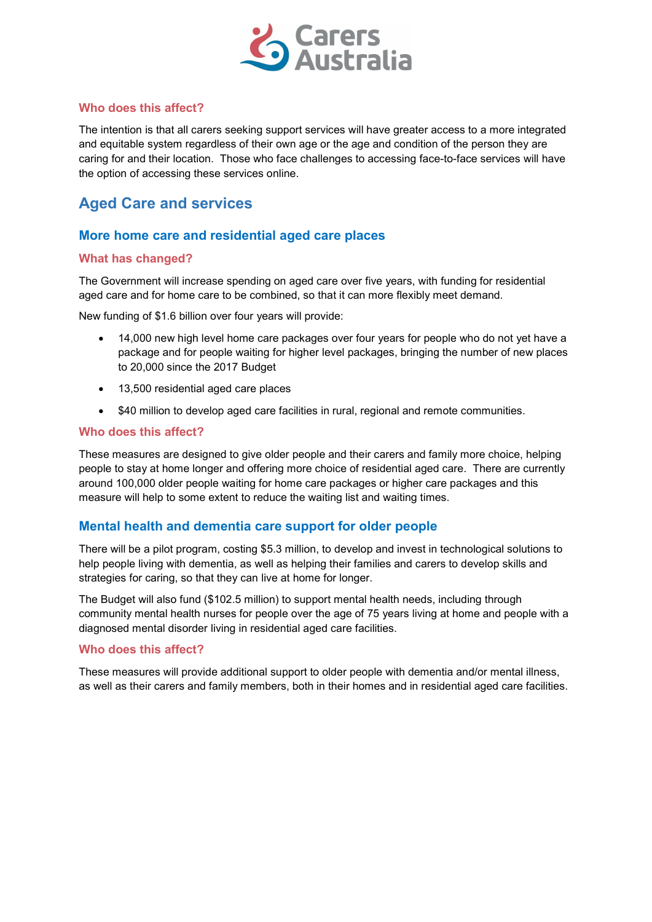

## Who does this affect?

The intention is that all carers seeking support services will have greater access to a more integrated and equitable system regardless of their own age or the age and condition of the person they are caring for and their location. Those who face challenges to accessing face-to-face services will have the option of accessing these services online.

# Aged Care and services

## More home care and residential aged care places

### What has changed?

The Government will increase spending on aged care over five years, with funding for residential aged care and for home care to be combined, so that it can more flexibly meet demand.

New funding of \$1.6 billion over four years will provide:

- 14,000 new high level home care packages over four years for people who do not yet have a package and for people waiting for higher level packages, bringing the number of new places to 20,000 since the 2017 Budget
- 13,500 residential aged care places
- \$40 million to develop aged care facilities in rural, regional and remote communities.

#### Who does this affect?

These measures are designed to give older people and their carers and family more choice, helping people to stay at home longer and offering more choice of residential aged care. There are currently around 100,000 older people waiting for home care packages or higher care packages and this measure will help to some extent to reduce the waiting list and waiting times.

## Mental health and dementia care support for older people

There will be a pilot program, costing \$5.3 million, to develop and invest in technological solutions to help people living with dementia, as well as helping their families and carers to develop skills and strategies for caring, so that they can live at home for longer.

The Budget will also fund (\$102.5 million) to support mental health needs, including through community mental health nurses for people over the age of 75 years living at home and people with a diagnosed mental disorder living in residential aged care facilities.

### Who does this affect?

These measures will provide additional support to older people with dementia and/or mental illness, as well as their carers and family members, both in their homes and in residential aged care facilities.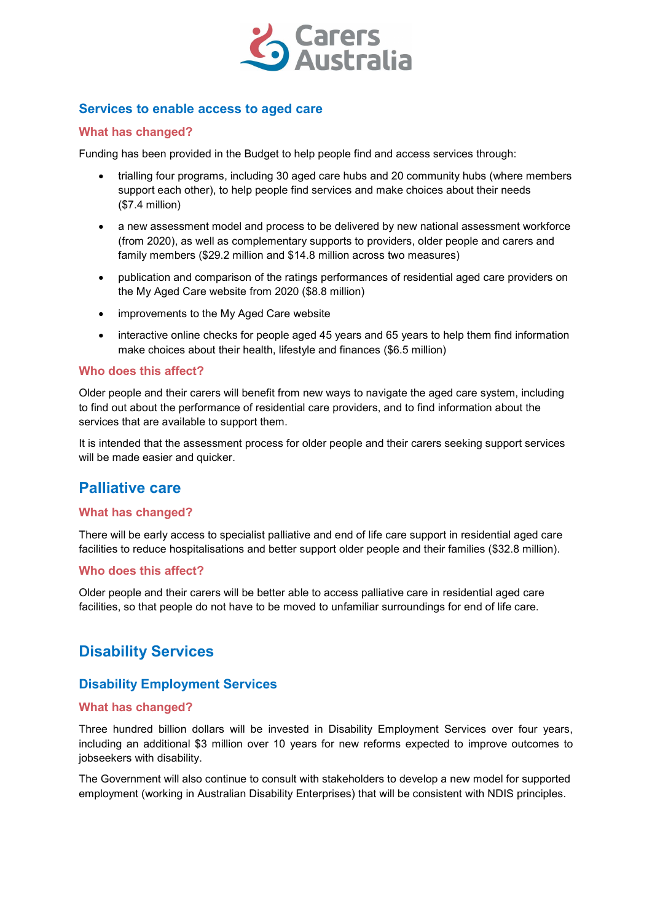

## Services to enable access to aged care

### What has changed?

Funding has been provided in the Budget to help people find and access services through:

- trialling four programs, including 30 aged care hubs and 20 community hubs (where members support each other), to help people find services and make choices about their needs (\$7.4 million)
- a new assessment model and process to be delivered by new national assessment workforce (from 2020), as well as complementary supports to providers, older people and carers and family members (\$29.2 million and \$14.8 million across two measures)
- publication and comparison of the ratings performances of residential aged care providers on the My Aged Care website from 2020 (\$8.8 million)
- improvements to the My Aged Care website
- interactive online checks for people aged 45 years and 65 years to help them find information make choices about their health, lifestyle and finances (\$6.5 million)

#### Who does this affect?

Older people and their carers will benefit from new ways to navigate the aged care system, including to find out about the performance of residential care providers, and to find information about the services that are available to support them.

It is intended that the assessment process for older people and their carers seeking support services will be made easier and quicker.

## Palliative care

### What has changed?

There will be early access to specialist palliative and end of life care support in residential aged care facilities to reduce hospitalisations and better support older people and their families (\$32.8 million).

### Who does this affect?

Older people and their carers will be better able to access palliative care in residential aged care facilities, so that people do not have to be moved to unfamiliar surroundings for end of life care.

## Disability Services

## Disability Employment Services

### What has changed?

Three hundred billion dollars will be invested in Disability Employment Services over four years, including an additional \$3 million over 10 years for new reforms expected to improve outcomes to jobseekers with disability.

The Government will also continue to consult with stakeholders to develop a new model for supported employment (working in Australian Disability Enterprises) that will be consistent with NDIS principles.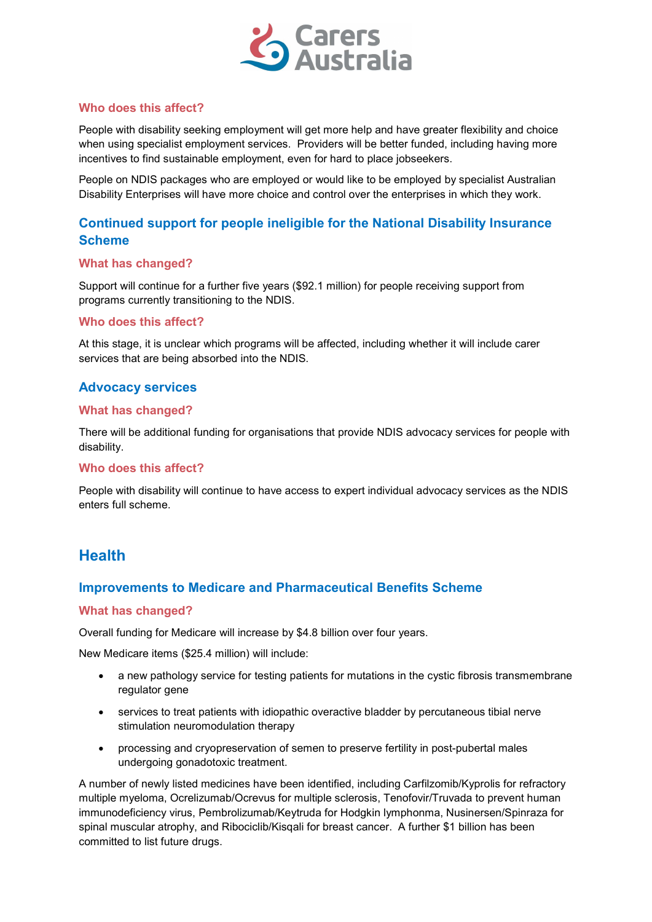

### Who does this affect?

People with disability seeking employment will get more help and have greater flexibility and choice when using specialist employment services. Providers will be better funded, including having more incentives to find sustainable employment, even for hard to place jobseekers.

People on NDIS packages who are employed or would like to be employed by specialist Australian Disability Enterprises will have more choice and control over the enterprises in which they work.

## Continued support for people ineligible for the National Disability Insurance Scheme

### What has changed?

Support will continue for a further five years (\$92.1 million) for people receiving support from programs currently transitioning to the NDIS.

#### Who does this affect?

At this stage, it is unclear which programs will be affected, including whether it will include carer services that are being absorbed into the NDIS.

## Advocacy services

#### What has changed?

There will be additional funding for organisations that provide NDIS advocacy services for people with disability.

#### Who does this affect?

People with disability will continue to have access to expert individual advocacy services as the NDIS enters full scheme.

## **Health**

## Improvements to Medicare and Pharmaceutical Benefits Scheme

### What has changed?

Overall funding for Medicare will increase by \$4.8 billion over four years.

New Medicare items (\$25.4 million) will include:

- a new pathology service for testing patients for mutations in the cystic fibrosis transmembrane regulator gene
- services to treat patients with idiopathic overactive bladder by percutaneous tibial nerve stimulation neuromodulation therapy
- processing and cryopreservation of semen to preserve fertility in post-pubertal males undergoing gonadotoxic treatment.

A number of newly listed medicines have been identified, including Carfilzomib/Kyprolis for refractory multiple myeloma, Ocrelizumab/Ocrevus for multiple sclerosis, Tenofovir/Truvada to prevent human immunodeficiency virus, Pembrolizumab/Keytruda for Hodgkin lymphonma, Nusinersen/Spinraza for spinal muscular atrophy, and Ribociclib/Kisqali for breast cancer. A further \$1 billion has been committed to list future drugs.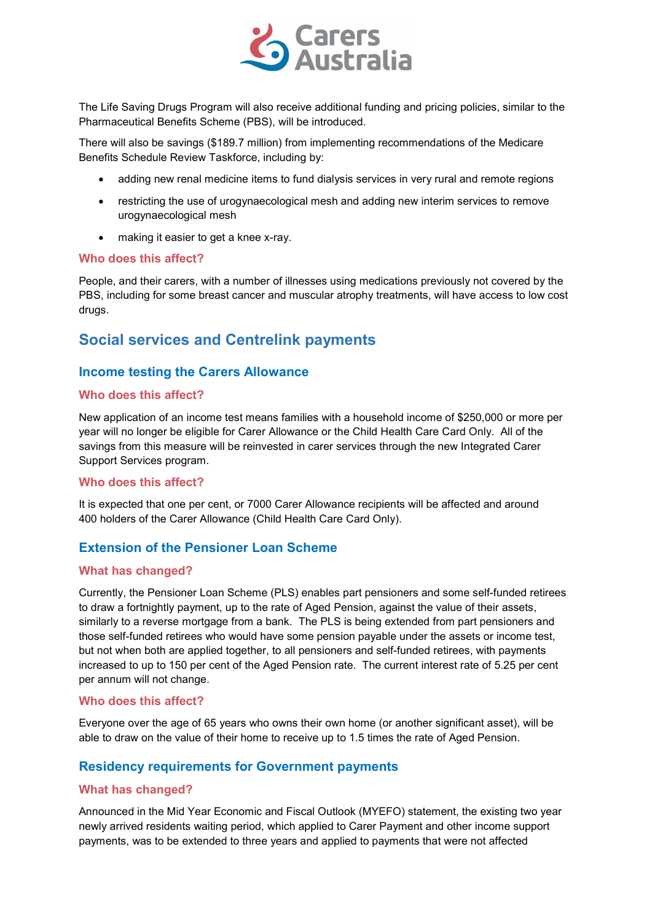

The Life Saving Drugs Program will also receive additional funding and pricing policies, similar to the Pharmaceutical Benefits Scheme (PBS), will be introduced.

There will also be savings (\$189.7 million) from implementing recommendations of the Medicare Benefits Schedule Review Taskforce, including by:

- adding new renal medicine items to fund dialysis services in very rural and remote regions
- restricting the use of urogynaecological mesh and adding new interim services to remove urogynaecological mesh
- making it easier to get a knee x-ray.

#### Who does this affect?

People, and their carers, with a number of illnesses using medications previously not covered by the PBS, including for some breast cancer and muscular atrophy treatments, will have access to low cost drugs.

## Social services and Centrelink payments

## Income testing the Carers Allowance

### Who does this affect?

New application of an income test means families with a household income of \$250,000 or more per year will no longer be eligible for Carer Allowance or the Child Health Care Card Only. All of the savings from this measure will be reinvested in carer services through the new Integrated Carer Support Services program.

#### Who does this affect?

It is expected that one per cent, or 7000 Carer Allowance recipients will be affected and around 400 holders of the Carer Allowance (Child Health Care Card Only).

## Extension of the Pensioner Loan Scheme

### What has changed?

Currently, the Pensioner Loan Scheme (PLS) enables part pensioners and some self-funded retirees to draw a fortnightly payment, up to the rate of Aged Pension, against the value of their assets, similarly to a reverse mortgage from a bank. The PLS is being extended from part pensioners and those self-funded retirees who would have some pension payable under the assets or income test, but not when both are applied together, to all pensioners and self-funded retirees, with payments increased to up to 150 per cent of the Aged Pension rate. The current interest rate of 5.25 per cent per annum will not change.

### Who does this affect?

Everyone over the age of 65 years who owns their own home (or another significant asset), will be able to draw on the value of their home to receive up to 1.5 times the rate of Aged Pension.

## Residency requirements for Government payments

### What has changed?

Announced in the Mid Year Economic and Fiscal Outlook (MYEFO) statement, the existing two year newly arrived residents waiting period, which applied to Carer Payment and other income support payments, was to be extended to three years and applied to payments that were not affected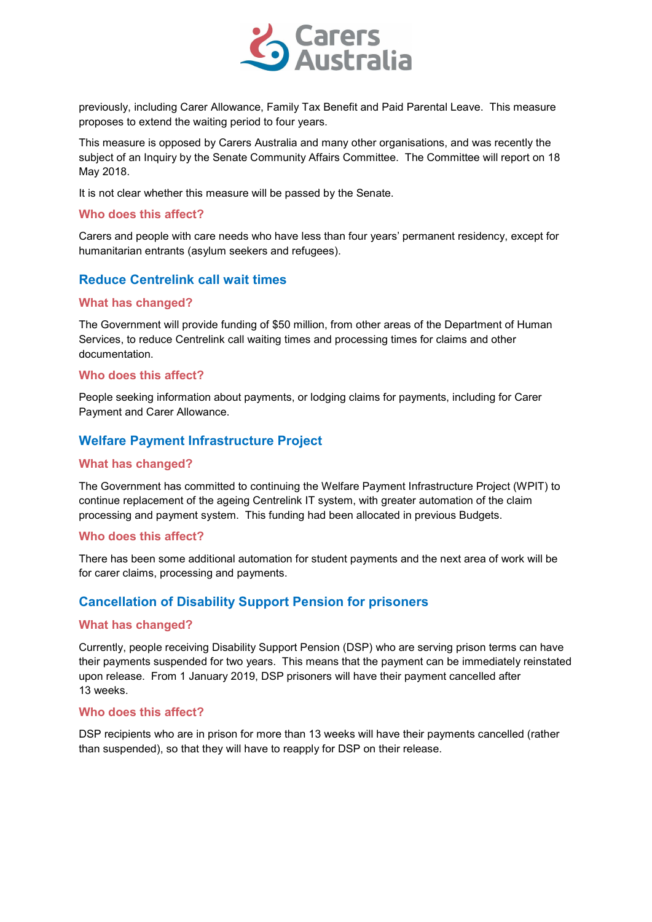

previously, including Carer Allowance, Family Tax Benefit and Paid Parental Leave. This measure proposes to extend the waiting period to four years.

This measure is opposed by Carers Australia and many other organisations, and was recently the subject of an Inquiry by the Senate Community Affairs Committee. The Committee will report on 18 May 2018.

It is not clear whether this measure will be passed by the Senate.

#### Who does this affect?

Carers and people with care needs who have less than four years' permanent residency, except for humanitarian entrants (asylum seekers and refugees).

## Reduce Centrelink call wait times

### What has changed?

The Government will provide funding of \$50 million, from other areas of the Department of Human Services, to reduce Centrelink call waiting times and processing times for claims and other documentation.

### Who does this affect?

People seeking information about payments, or lodging claims for payments, including for Carer Payment and Carer Allowance.

## Welfare Payment Infrastructure Project

#### What has changed?

The Government has committed to continuing the Welfare Payment Infrastructure Project (WPIT) to continue replacement of the ageing Centrelink IT system, with greater automation of the claim processing and payment system. This funding had been allocated in previous Budgets.

### Who does this affect?

There has been some additional automation for student payments and the next area of work will be for carer claims, processing and payments.

## Cancellation of Disability Support Pension for prisoners

### What has changed?

Currently, people receiving Disability Support Pension (DSP) who are serving prison terms can have their payments suspended for two years. This means that the payment can be immediately reinstated upon release. From 1 January 2019, DSP prisoners will have their payment cancelled after 13 weeks.

#### Who does this affect?

DSP recipients who are in prison for more than 13 weeks will have their payments cancelled (rather than suspended), so that they will have to reapply for DSP on their release.